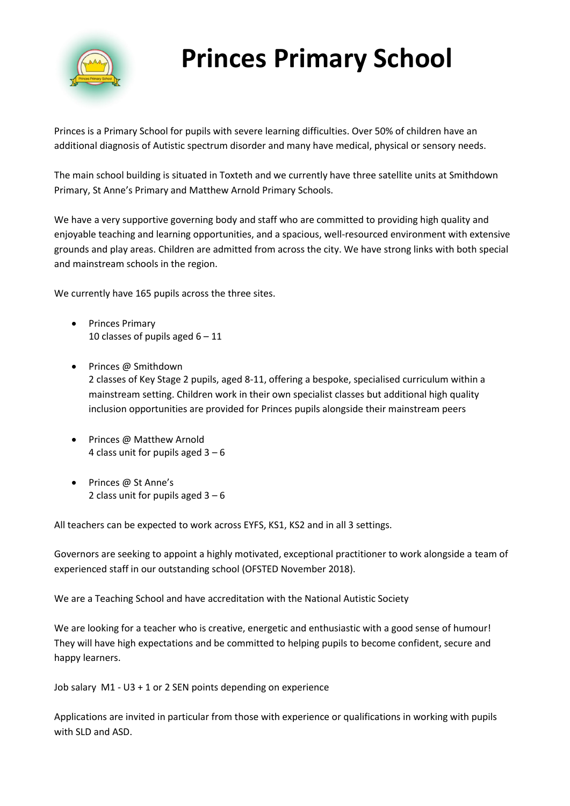

## **Princes Primary School**

Princes is a Primary School for pupils with severe learning difficulties. Over 50% of children have an additional diagnosis of Autistic spectrum disorder and many have medical, physical or sensory needs.

The main school building is situated in Toxteth and we currently have three satellite units at Smithdown Primary, St Anne's Primary and Matthew Arnold Primary Schools.

We have a very supportive governing body and staff who are committed to providing high quality and enjoyable teaching and learning opportunities, and a spacious, well-resourced environment with extensive grounds and play areas. Children are admitted from across the city. We have strong links with both special and mainstream schools in the region.

We currently have 165 pupils across the three sites.

- Princes Primary 10 classes of pupils aged  $6 - 11$
- Princes @ Smithdown 2 classes of Key Stage 2 pupils, aged 8-11, offering a bespoke, specialised curriculum within a mainstream setting. Children work in their own specialist classes but additional high quality inclusion opportunities are provided for Princes pupils alongside their mainstream peers
- Princes @ Matthew Arnold 4 class unit for pupils aged  $3 - 6$
- Princes @ St Anne's 2 class unit for pupils aged  $3 - 6$

All teachers can be expected to work across EYFS, KS1, KS2 and in all 3 settings.

Governors are seeking to appoint a highly motivated, exceptional practitioner to work alongside a team of experienced staff in our outstanding school (OFSTED November 2018).

We are a Teaching School and have accreditation with the National Autistic Society

We are looking for a teacher who is creative, energetic and enthusiastic with a good sense of humour! They will have high expectations and be committed to helping pupils to become confident, secure and happy learners.

Job salary M1 - U3 + 1 or 2 SEN points depending on experience

Applications are invited in particular from those with experience or qualifications in working with pupils with SLD and ASD.